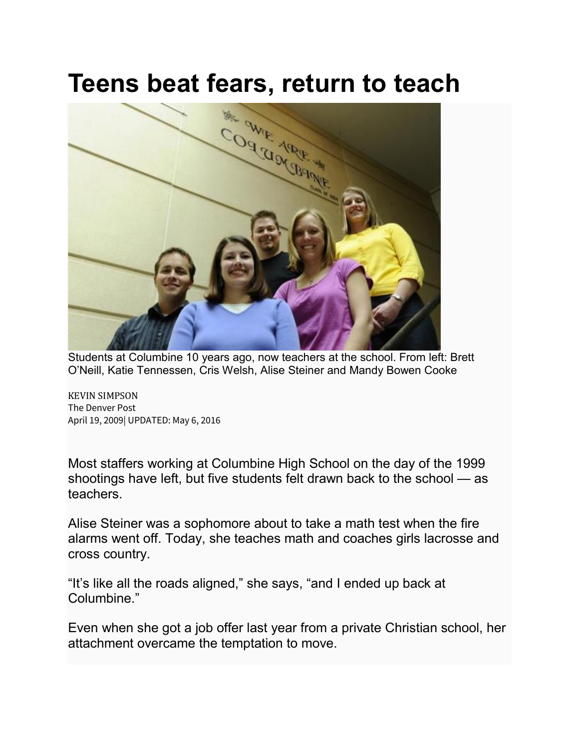## **Teens beat fears, return to teach**



Students at Columbine 10 years ago, now teachers at the school. From left: Brett O'Neill, Katie Tennessen, Cris Welsh, Alise Steiner and Mandy Bowen Cooke

KEVIN [SIMPSON](mailto:KEVIN%20SIMPSON) The Denver Post April 19, 2009| UPDATED: May 6, 2016

Most staffers working at Columbine High School on the day of the 1999 shootings have left, but five students felt drawn back to the school — as teachers.

Alise Steiner was a sophomore about to take a math test when the fire alarms went off. Today, she teaches math and coaches girls lacrosse and cross country.

"It's like all the roads aligned," she says, "and I ended up back at Columbine."

Even when she got a job offer last year from a private Christian school, her attachment overcame the temptation to move.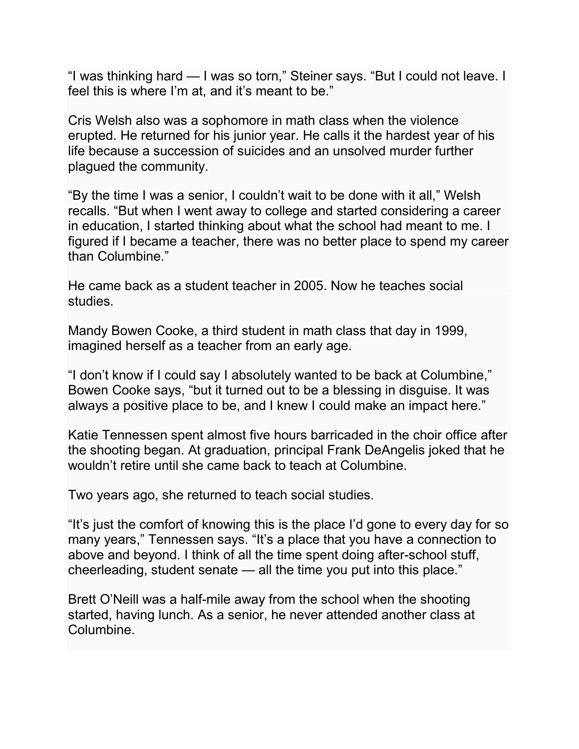"I was thinking hard — I was so torn," Steiner says. "But I could not leave. I feel this is where I'm at, and it's meant to be."

Cris Welsh also was a sophomore in math class when the violence erupted. He returned for his junior year. He calls it the hardest year of his life because a succession of suicides and an unsolved murder further plagued the community.

"By the time I was a senior, I couldn't wait to be done with it all," Welsh recalls. "But when I went away to college and started considering a career in education, I started thinking about what the school had meant to me. I figured if I became a teacher, there was no better place to spend my career than Columbine."

He came back as a student teacher in 2005. Now he teaches social studies.

Mandy Bowen Cooke, a third student in math class that day in 1999, imagined herself as a teacher from an early age.

"I don't know if I could say I absolutely wanted to be back at Columbine," Bowen Cooke says, "but it turned out to be a blessing in disguise. It was always a positive place to be, and I knew I could make an impact here."

Katie Tennessen spent almost five hours barricaded in the choir office after the shooting began. At graduation, principal Frank DeAngelis joked that he wouldn't retire until she came back to teach at Columbine.

Two years ago, she returned to teach social studies.

"It's just the comfort of knowing this is the place I'd gone to every day for so many years," Tennessen says. "It's a place that you have a connection to above and beyond. I think of all the time spent doing after-school stuff, cheerleading, student senate — all the time you put into this place."

Brett O'Neill was a half-mile away from the school when the shooting started, having lunch. As a senior, he never attended another class at Columbine.